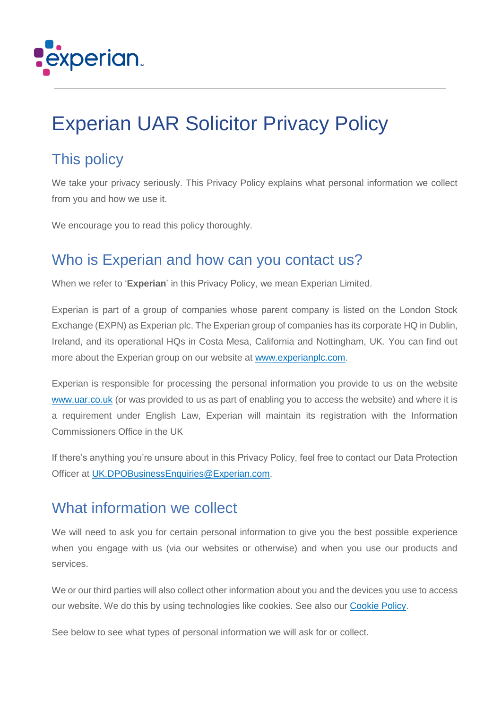

# Experian UAR Solicitor Privacy Policy

# This policy

We take your privacy seriously. This Privacy Policy explains what personal information we collect from you and how we use it.

We encourage you to read this policy thoroughly.

### Who is Experian and how can you contact us?

When we refer to '**Experian**' in this Privacy Policy, we mean Experian Limited.

Experian is part of a group of companies whose parent company is listed on the London Stock Exchange (EXPN) as Experian plc. The Experian group of companies has its corporate HQ in Dublin, Ireland, and its operational HQs in Costa Mesa, California and Nottingham, UK. You can find out more about the Experian group on our website at [www.experianplc.com.](http://www.experianplc.com/)

Experian is responsible for processing the personal information you provide to us on the website [www.uar.co.uk](http://www.uar.co.uk/) (or was provided to us as part of enabling you to access the website) and where it is a requirement under English Law, Experian will maintain its registration with the Information Commissioners Office in the UK

If there's anything you're unsure about in this Privacy Policy, feel free to contact our Data Protection Officer at [UK.DPOBusinessEnquiries@Experian.com.](mailto:UK.DPOBusinessEnquiries@Experian.com)

### What information we collect

We will need to ask you for certain personal information to give you the best possible experience when you engage with us (via our websites or otherwise) and when you use our products and services.

We or our third parties will also collect other information about you and the devices you use to access our website. We do this by using technologies like cookies. See also our [Cookie Policy.](http://www.uar.co.uk/Help/Privacy#Cookies)

See below to see what types of personal information we will ask for or collect.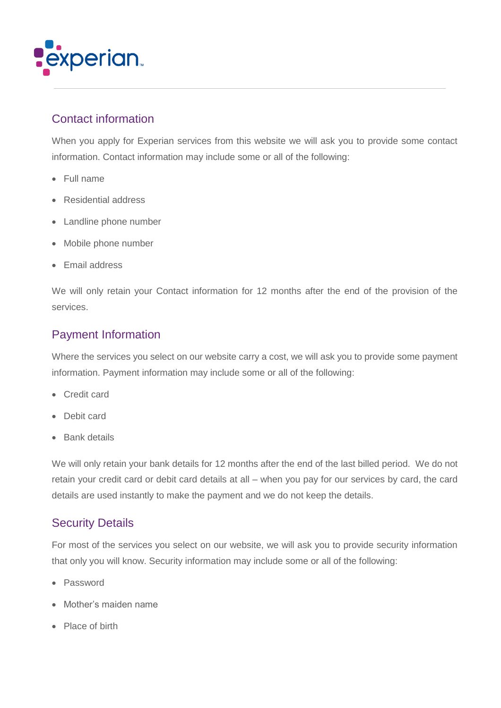

### Contact information

When you apply for Experian services from this website we will ask you to provide some contact information. Contact information may include some or all of the following:

- Full name
- Residential address
- Landline phone number
- Mobile phone number
- Email address

We will only retain your Contact information for 12 months after the end of the provision of the services.

### Payment Information

Where the services you select on our website carry a cost, we will ask you to provide some payment information. Payment information may include some or all of the following:

- Credit card
- Debit card
- Bank details

We will only retain your bank details for 12 months after the end of the last billed period. We do not retain your credit card or debit card details at all – when you pay for our services by card, the card details are used instantly to make the payment and we do not keep the details.

### Security Details

For most of the services you select on our website, we will ask you to provide security information that only you will know. Security information may include some or all of the following:

- Password
- Mother's maiden name
- Place of birth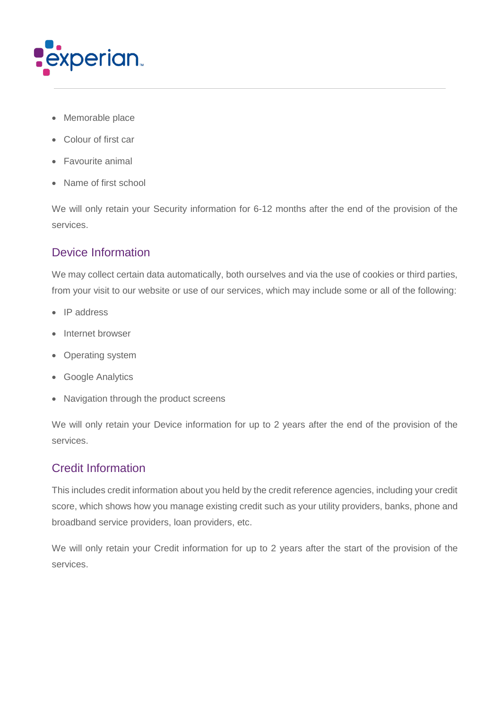

- Memorable place
- Colour of first car
- Favourite animal
- Name of first school

We will only retain your Security information for 6-12 months after the end of the provision of the services.

### Device Information

We may collect certain data automatically, both ourselves and via the use of cookies or third parties, from your visit to our website or use of our services, which may include some or all of the following:

- IP address
- Internet browser
- Operating system
- Google Analytics
- Navigation through the product screens

We will only retain your Device information for up to 2 years after the end of the provision of the services.

### Credit Information

This includes credit information about you held by the credit reference agencies, including your credit score, which shows how you manage existing credit such as your utility providers, banks, phone and broadband service providers, loan providers, etc.

We will only retain your Credit information for up to 2 years after the start of the provision of the services.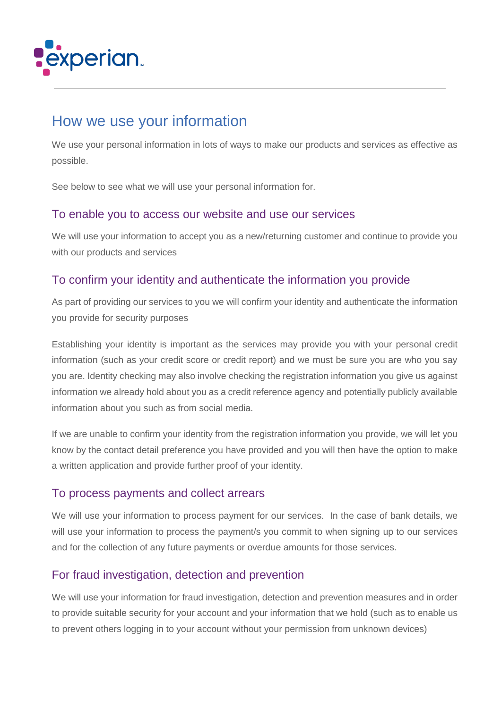

# How we use your information

We use your personal information in lots of ways to make our products and services as effective as possible.

See below to see what we will use your personal information for.

#### To enable you to access our website and use our services

We will use your information to accept you as a new/returning customer and continue to provide you with our products and services

### To confirm your identity and authenticate the information you provide

As part of providing our services to you we will confirm your identity and authenticate the information you provide for security purposes

Establishing your identity is important as the services may provide you with your personal credit information (such as your credit score or credit report) and we must be sure you are who you say you are. Identity checking may also involve checking the registration information you give us against information we already hold about you as a credit reference agency and potentially publicly available information about you such as from social media.

If we are unable to confirm your identity from the registration information you provide, we will let you know by the contact detail preference you have provided and you will then have the option to make a written application and provide further proof of your identity.

#### To process payments and collect arrears

We will use your information to process payment for our services. In the case of bank details, we will use your information to process the payment/s you commit to when signing up to our services and for the collection of any future payments or overdue amounts for those services.

### For fraud investigation, detection and prevention

We will use your information for fraud investigation, detection and prevention measures and in order to provide suitable security for your account and your information that we hold (such as to enable us to prevent others logging in to your account without your permission from unknown devices)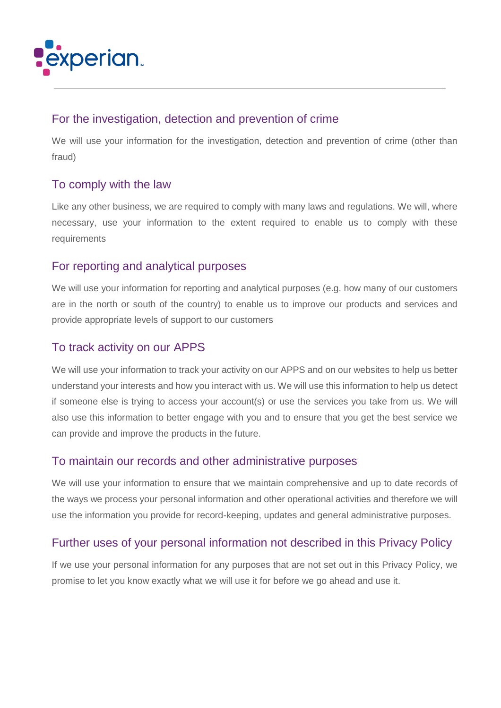

#### For the investigation, detection and prevention of crime

We will use your information for the investigation, detection and prevention of crime (other than fraud)

#### To comply with the law

Like any other business, we are required to comply with many laws and regulations. We will, where necessary, use your information to the extent required to enable us to comply with these requirements

### For reporting and analytical purposes

We will use your information for reporting and analytical purposes (e.g. how many of our customers are in the north or south of the country) to enable us to improve our products and services and provide appropriate levels of support to our customers

#### To track activity on our APPS

We will use your information to track your activity on our APPS and on our websites to help us better understand your interests and how you interact with us. We will use this information to help us detect if someone else is trying to access your account(s) or use the services you take from us. We will also use this information to better engage with you and to ensure that you get the best service we can provide and improve the products in the future.

#### To maintain our records and other administrative purposes

We will use your information to ensure that we maintain comprehensive and up to date records of the ways we process your personal information and other operational activities and therefore we will use the information you provide for record-keeping, updates and general administrative purposes.

### Further uses of your personal information not described in this Privacy Policy

If we use your personal information for any purposes that are not set out in this Privacy Policy, we promise to let you know exactly what we will use it for before we go ahead and use it.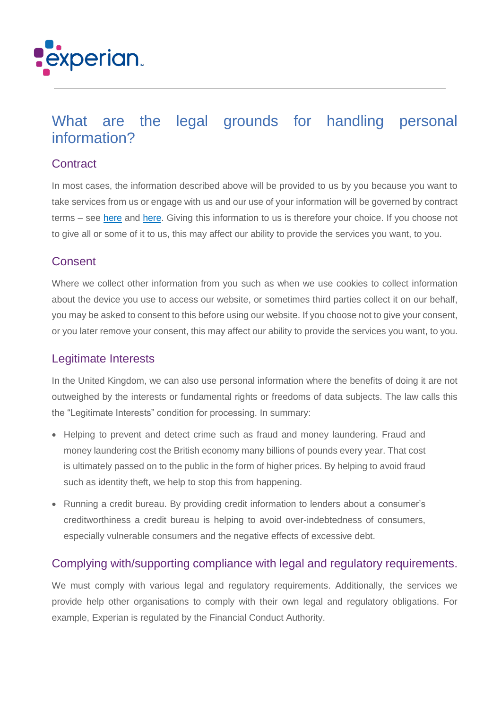

# What are the legal grounds for handling personal information?

#### **Contract**

In most cases, the information described above will be provided to us by you because you want to take services from us or engage with us and our use of your information will be governed by contract terms – see [here](http://www.uar.co.uk/Help/TermsAndConditions) and [here.](http://www.uar.co.uk/Content/Forms/UAR_TermsAndConditions.pdf) Giving this information to us is therefore your choice. If you choose not to give all or some of it to us, this may affect our ability to provide the services you want, to you.

#### **Consent**

Where we collect other information from you such as when we use cookies to collect information about the device you use to access our website, or sometimes third parties collect it on our behalf, you may be asked to consent to this before using our website. If you choose not to give your consent, or you later remove your consent, this may affect our ability to provide the services you want, to you.

### Legitimate Interests

In the United Kingdom, we can also use personal information where the benefits of doing it are not outweighed by the interests or fundamental rights or freedoms of data subjects. The law calls this the "Legitimate Interests" condition for processing. In summary:

- Helping to prevent and detect crime such as fraud and money laundering. Fraud and money laundering cost the British economy many billions of pounds every year. That cost is ultimately passed on to the public in the form of higher prices. By helping to avoid fraud such as identity theft, we help to stop this from happening.
- Running a credit bureau. By providing credit information to lenders about a consumer's creditworthiness a credit bureau is helping to avoid over-indebtedness of consumers, especially vulnerable consumers and the negative effects of excessive debt.

#### Complying with/supporting compliance with legal and regulatory requirements.

We must comply with various legal and regulatory requirements. Additionally, the services we provide help other organisations to comply with their own legal and regulatory obligations. For example, Experian is regulated by the Financial Conduct Authority.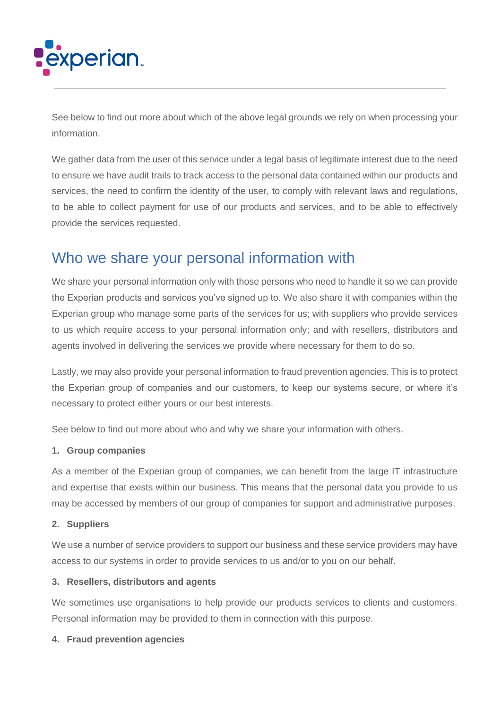

See below to find out more about which of the above legal grounds we rely on when processing your information.

We gather data from the user of this service under a legal basis of legitimate interest due to the need to ensure we have audit trails to track access to the personal data contained within our products and services, the need to confirm the identity of the user, to comply with relevant laws and regulations, to be able to collect payment for use of our products and services, and to be able to effectively provide the services requested.

### Who we share your personal information with

We share your personal information only with those persons who need to handle it so we can provide the Experian products and services you've signed up to. We also share it with companies within the Experian group who manage some parts of the services for us; with suppliers who provide services to us which require access to your personal information only; and with resellers, distributors and agents involved in delivering the services we provide where necessary for them to do so.

Lastly, we may also provide your personal information to fraud prevention agencies. This is to protect the Experian group of companies and our customers, to keep our systems secure, or where it's necessary to protect either yours or our best interests.

See below to find out more about who and why we share your information with others.

#### **1. Group companies**

As a member of the Experian group of companies, we can benefit from the large IT infrastructure and expertise that exists within our business. This means that the personal data you provide to us may be accessed by members of our group of companies for support and administrative purposes.

#### **2. Suppliers**

We use a number of service providers to support our business and these service providers may have access to our systems in order to provide services to us and/or to you on our behalf.

#### **3. Resellers, distributors and agents**

We sometimes use organisations to help provide our products services to clients and customers. Personal information may be provided to them in connection with this purpose.

#### **4. Fraud prevention agencies**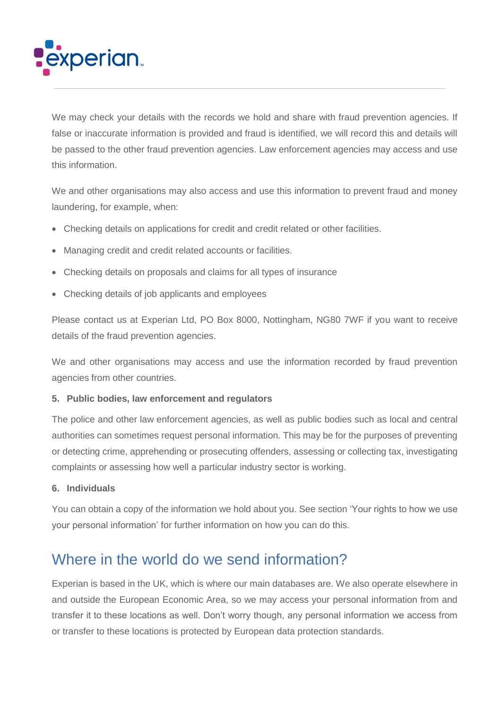

We may check your details with the records we hold and share with fraud prevention agencies. If false or inaccurate information is provided and fraud is identified, we will record this and details will be passed to the other fraud prevention agencies. Law enforcement agencies may access and use this information.

We and other organisations may also access and use this information to prevent fraud and money laundering, for example, when:

- Checking details on applications for credit and credit related or other facilities.
- Managing credit and credit related accounts or facilities.
- Checking details on proposals and claims for all types of insurance
- Checking details of job applicants and employees

Please contact us at Experian Ltd, PO Box 8000, Nottingham, NG80 7WF if you want to receive details of the fraud prevention agencies.

We and other organisations may access and use the information recorded by fraud prevention agencies from other countries.

#### **5. Public bodies, law enforcement and regulators**

The police and other law enforcement agencies, as well as public bodies such as local and central authorities can sometimes request personal information. This may be for the purposes of preventing or detecting crime, apprehending or prosecuting offenders, assessing or collecting tax, investigating complaints or assessing how well a particular industry sector is working.

#### **6. Individuals**

You can obtain a copy of the information we hold about you. See section 'Your rights to how we use your personal information' for further information on how you can do this.

### Where in the world do we send information?

Experian is based in the UK, which is where our main databases are. We also operate elsewhere in and outside the European Economic Area, so we may access your personal information from and transfer it to these locations as well. Don't worry though, any personal information we access from or transfer to these locations is protected by European data protection standards.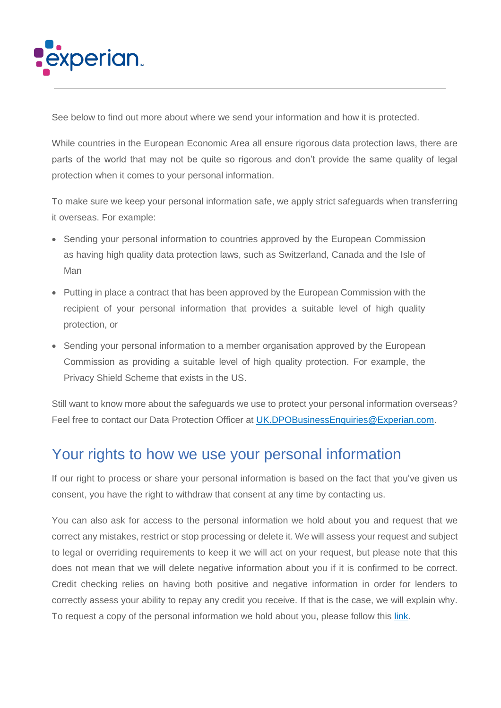

See below to find out more about where we send your information and how it is protected.

While countries in the European Economic Area all ensure rigorous data protection laws, there are parts of the world that may not be quite so rigorous and don't provide the same quality of legal protection when it comes to your personal information.

To make sure we keep your personal information safe, we apply strict safeguards when transferring it overseas. For example:

- Sending your personal information to countries approved by the European Commission as having high quality data protection laws, such as Switzerland, Canada and the Isle of Man
- Putting in place a contract that has been approved by the European Commission with the recipient of your personal information that provides a suitable level of high quality protection, or
- Sending your personal information to a member organisation approved by the European Commission as providing a suitable level of high quality protection. For example, the Privacy Shield Scheme that exists in the US.

Still want to know more about the safeguards we use to protect your personal information overseas? Feel free to contact our Data Protection Officer at [UK.DPOBusinessEnquiries@Experian.com.](mailto:UK.DPOBusinessEnquiries@Experian.com)

# Your rights to how we use your personal information

If our right to process or share your personal information is based on the fact that you've given us consent, you have the right to withdraw that consent at any time by contacting us.

You can also ask for access to the personal information we hold about you and request that we correct any mistakes, restrict or stop processing or delete it. We will assess your request and subject to legal or overriding requirements to keep it we will act on your request, but please note that this does not mean that we will delete negative information about you if it is confirmed to be correct. Credit checking relies on having both positive and negative information in order for lenders to correctly assess your ability to repay any credit you receive. If that is the case, we will explain why. To request a copy of the personal information we hold about you, please follow this [link.](https://www.experian.co.uk/consumer/data-access)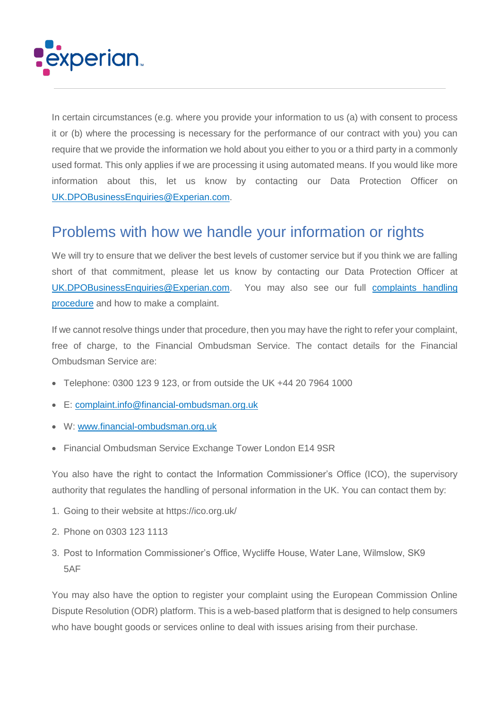

In certain circumstances (e.g. where you provide your information to us (a) with consent to process it or (b) where the processing is necessary for the performance of our contract with you) you can require that we provide the information we hold about you either to you or a third party in a commonly used format. This only applies if we are processing it using automated means. If you would like more information about this, let us know by contacting our Data Protection Officer on [UK.DPOBusinessEnquiries@Experian.com.](mailto:UK.DPOBusinessEnquiries@Experian.com)

# Problems with how we handle your information or rights

We will try to ensure that we deliver the best levels of customer service but if you think we are falling short of that commitment, please let us know by contacting our Data Protection Officer at [UK.DPOBusinessEnquiries@Experian.com.](mailto:UK.DPOBusinessEnquiries@Experian.com) You may also see our full [complaints handling](http://www.experian.co.uk/assets/consumer/contact-us/complaint-handling-procedure.pdf)  [procedure](http://www.experian.co.uk/assets/consumer/contact-us/complaint-handling-procedure.pdf) and how to make a complaint.

If we cannot resolve things under that procedure, then you may have the right to refer your complaint, free of charge, to the Financial Ombudsman Service. The contact details for the Financial Ombudsman Service are:

- Telephone: 0300 123 9 123, or from outside the UK +44 20 7964 1000
- E: [complaint.info@financial-ombudsman.org.uk](mailto:complaint.info@financial-ombudsman.org.uk)
- W: [www.financial-ombudsman.org.uk](http://www.financial-ombudsman.org.uk/)
- Financial Ombudsman Service Exchange Tower London E14 9SR

You also have the right to contact the Information Commissioner's Office (ICO), the supervisory authority that regulates the handling of personal information in the UK. You can contact them by:

- 1. Going to their website at<https://ico.org.uk/>
- 2. Phone on 0303 123 1113
- 3. Post to Information Commissioner's Office, Wycliffe House, Water Lane, Wilmslow, SK9 5AF

You may also have the option to register your complaint using the European Commission Online Dispute Resolution (ODR) platform. This is a web-based platform that is designed to help consumers who have bought goods or services online to deal with issues arising from their purchase.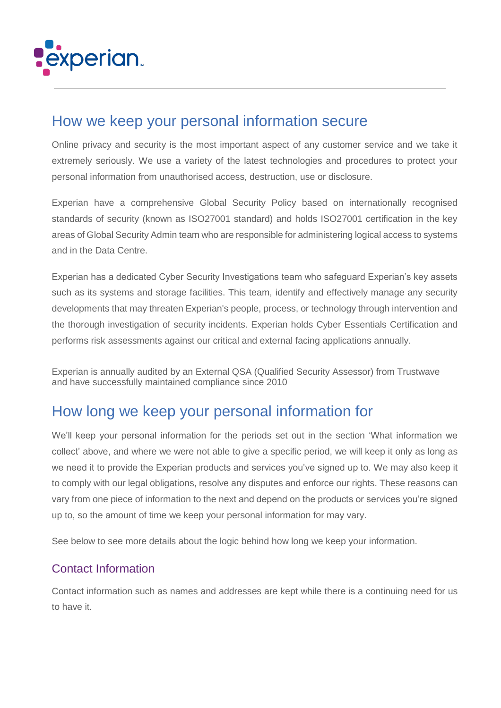

# How we keep your personal information secure

Online privacy and security is the most important aspect of any customer service and we take it extremely seriously. We use a variety of the latest technologies and procedures to protect your personal information from unauthorised access, destruction, use or disclosure.

Experian have a comprehensive Global Security Policy based on internationally recognised standards of security (known as ISO27001 standard) and holds ISO27001 certification in the key areas of Global Security Admin team who are responsible for administering logical access to systems and in the Data Centre.

Experian has a dedicated Cyber Security Investigations team who safeguard Experian's key assets such as its systems and storage facilities. This team, identify and effectively manage any security developments that may threaten Experian's people, process, or technology through intervention and the thorough investigation of security incidents. Experian holds Cyber Essentials Certification and performs risk assessments against our critical and external facing applications annually.

Experian is annually audited by an External QSA (Qualified Security Assessor) from Trustwave and have successfully maintained compliance since 2010

### How long we keep your personal information for

We'll keep your personal information for the periods set out in the section 'What information we collect' above, and where we were not able to give a specific period, we will keep it only as long as we need it to provide the Experian products and services you've signed up to. We may also keep it to comply with our legal obligations, resolve any disputes and enforce our rights. These reasons can vary from one piece of information to the next and depend on the products or services you're signed up to, so the amount of time we keep your personal information for may vary.

See below to see more details about the logic behind how long we keep your information.

### Contact Information

Contact information such as names and addresses are kept while there is a continuing need for us to have it.